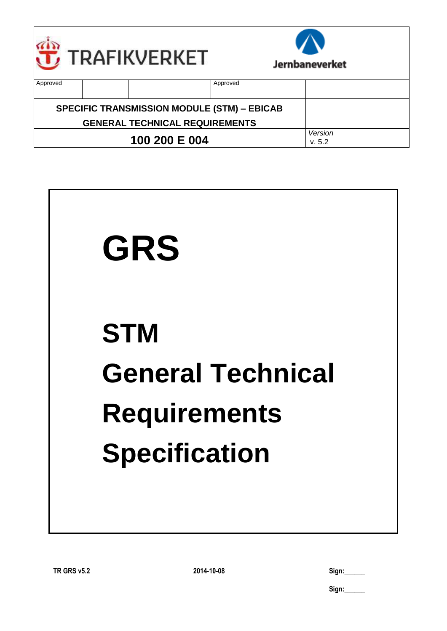



**TR GRS v5.2 2014-10-08 Sign:\_\_\_\_\_\_**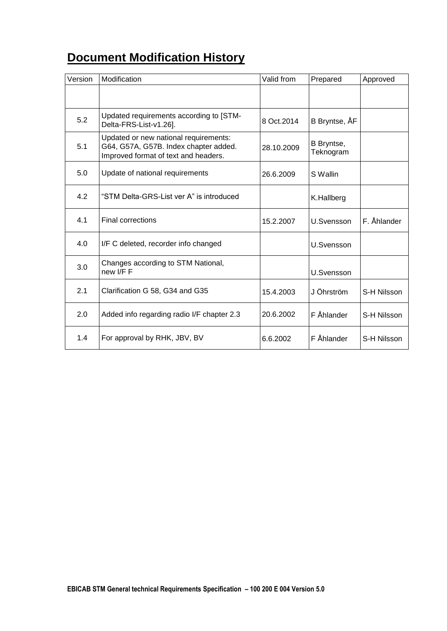# **Document Modification History**

| Version | Modification                                                                                                           | Valid from  | Prepared                | Approved    |
|---------|------------------------------------------------------------------------------------------------------------------------|-------------|-------------------------|-------------|
|         |                                                                                                                        |             |                         |             |
| 5.2     | Updated requirements according to [STM-<br>Delta-FRS-List-v1.26].                                                      | 8 Oct. 2014 | B Bryntse, ÅF           |             |
| 5.1     | Updated or new national requirements:<br>G64, G57A, G57B. Index chapter added.<br>Improved format of text and headers. | 28.10.2009  | B Bryntse,<br>Teknogram |             |
| 5.0     | Update of national requirements                                                                                        | 26.6.2009   | S Wallin                |             |
| 4.2     | "STM Delta-GRS-List ver A" is introduced                                                                               |             | K.Hallberg              |             |
| 4.1     | <b>Final corrections</b>                                                                                               | 15.2.2007   | U.Svensson              | F. Åhlander |
| 4.0     | I/F C deleted, recorder info changed                                                                                   |             | U.Svensson              |             |
| 3.0     | Changes according to STM National,<br>new I/F F                                                                        |             | U.Svensson              |             |
| 2.1     | Clarification G 58, G34 and G35                                                                                        | 15.4.2003   | J Öhrström              | S-H Nilsson |
| 2.0     | Added info regarding radio I/F chapter 2.3                                                                             | 20.6.2002   | F Åhlander              | S-H Nilsson |
| 1.4     | For approval by RHK, JBV, BV                                                                                           | 6.6.2002    | F Åhlander              | S-H Nilsson |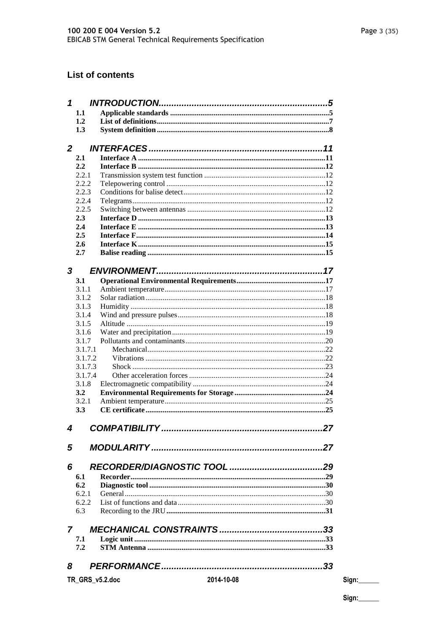# **List of contents**

| 1              |                 |            |  |
|----------------|-----------------|------------|--|
|                | 1.1             |            |  |
|                | 1.2             |            |  |
|                | 1.3             |            |  |
|                |                 |            |  |
| $\overline{2}$ |                 |            |  |
|                | 2.1             |            |  |
|                | 2.2             |            |  |
|                | 2.2.1           |            |  |
|                | 2.2.2           |            |  |
|                | 2.2.3           |            |  |
|                | 2.2.4           |            |  |
|                | 2.2.5           |            |  |
|                | 2.3             |            |  |
|                | 2.4             |            |  |
|                | 2.5             |            |  |
|                | 2.6             |            |  |
|                | 2.7             |            |  |
|                |                 |            |  |
| 3              |                 |            |  |
|                | 3.1             |            |  |
|                | 3.1.1           |            |  |
|                | 3.1.2           |            |  |
|                | 3.1.3           |            |  |
|                | 3.1.4           |            |  |
|                | 3.1.5           |            |  |
|                | 3.1.6           |            |  |
|                | 3.1.7           |            |  |
|                | 3.1.7.1         |            |  |
|                | 3.1.7.2         |            |  |
|                | 3.1.7.3         |            |  |
|                | 3.1.7.4         |            |  |
|                | 3.1.8           |            |  |
|                | 3.2             |            |  |
|                | 3.2.1           |            |  |
|                | 3.3             |            |  |
|                |                 |            |  |
| 4              |                 |            |  |
|                |                 |            |  |
| 5              |                 |            |  |
|                |                 |            |  |
|                |                 |            |  |
| 6              |                 |            |  |
|                | 6.1             |            |  |
|                | 6.2             |            |  |
|                | 6.2.1<br>6.2.2  |            |  |
|                |                 |            |  |
|                | 6.3             |            |  |
|                |                 |            |  |
| 7              |                 |            |  |
|                | 7.1             |            |  |
|                | 7.2             |            |  |
|                |                 |            |  |
| 8              |                 |            |  |
|                | TR_GRS_v5.2.doc | 2014-10-08 |  |
|                |                 |            |  |

Sign:

Sign: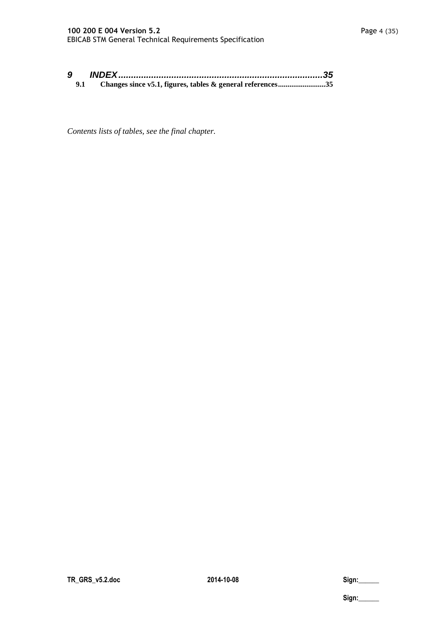| 9   |                                                            |  |
|-----|------------------------------------------------------------|--|
| 9.1 | Changes since v5.1, figures, tables & general references35 |  |

*Contents lists of tables, see the final chapter.*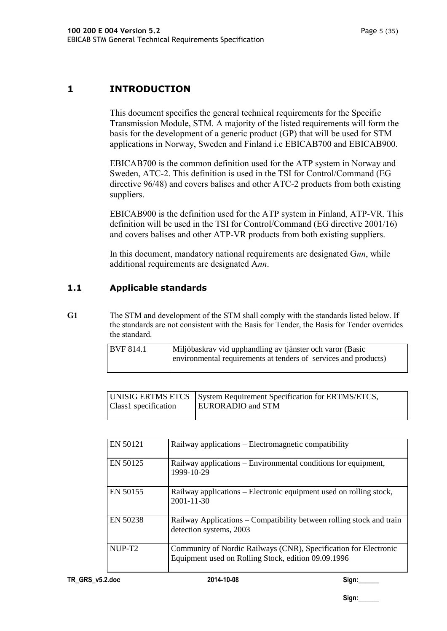# **1 INTRODUCTION**

This document specifies the general technical requirements for the Specific Transmission Module, STM. A majority of the listed requirements will form the basis for the development of a generic product (GP) that will be used for STM applications in Norway, Sweden and Finland i.e EBICAB700 and EBICAB900.

EBICAB700 is the common definition used for the ATP system in Norway and Sweden, ATC-2. This definition is used in the TSI for Control/Command (EG directive 96/48) and covers balises and other ATC-2 products from both existing suppliers.

EBICAB900 is the definition used for the ATP system in Finland, ATP-VR. This definition will be used in the TSI for Control/Command (EG directive 2001/16) and covers balises and other ATP-VR products from both existing suppliers.

In this document, mandatory national requirements are designated G*nn*, while additional requirements are designated A*nn*.

## **1.1 Applicable standards**

**G1** The STM and development of the STM shall comply with the standards listed below. If the standards are not consistent with the Basis for Tender, the Basis for Tender overrides the standard.

| <b>BVF 814.1</b> | Miljöbaskrav vid upphandling av tjänster och varor (Basic<br>environmental requirements at tenders of services and products) |
|------------------|------------------------------------------------------------------------------------------------------------------------------|
|                  |                                                                                                                              |

|                      | UNISIG ERTMS ETCS System Requirement Specification for ERTMS/ETCS, |
|----------------------|--------------------------------------------------------------------|
| Class1 specification | <b>EURORADIO</b> and STM                                           |
|                      |                                                                    |

| TR GRS v5.2.doc |                    | 2014-10-08                                                                                                              | Sign: |
|-----------------|--------------------|-------------------------------------------------------------------------------------------------------------------------|-------|
|                 | NUP-T <sub>2</sub> | Community of Nordic Railways (CNR), Specification for Electronic<br>Equipment used on Rolling Stock, edition 09.09.1996 |       |
|                 | EN 50238           | Railway Applications – Compatibility between rolling stock and train<br>detection systems, 2003                         |       |
|                 | EN 50155           | Railway applications - Electronic equipment used on rolling stock,<br>2001-11-30                                        |       |
|                 | EN 50125           | Railway applications – Environmental conditions for equipment,<br>1999-10-29                                            |       |
|                 | EN 50121           | Railway applications – Electromagnetic compatibility                                                                    |       |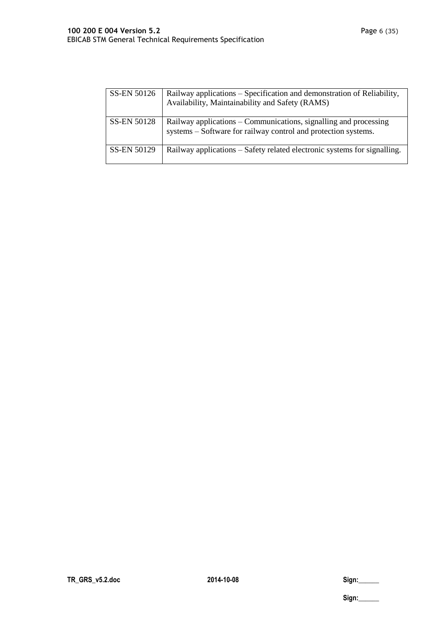| <b>SS-EN 50126</b> | Railway applications - Specification and demonstration of Reliability,<br>Availability, Maintainability and Safety (RAMS)          |
|--------------------|------------------------------------------------------------------------------------------------------------------------------------|
| <b>SS-EN 50128</b> | Railway applications – Communications, signalling and processing<br>systems – Software for railway control and protection systems. |
| <b>SS-EN 50129</b> | Railway applications – Safety related electronic systems for signalling.                                                           |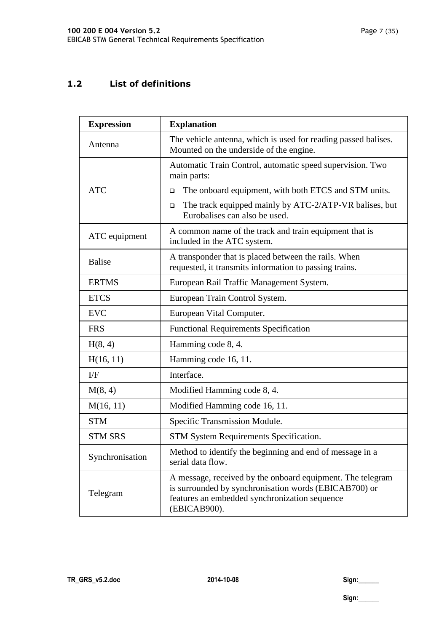# **1.2 List of definitions**

| <b>Expression</b> | <b>Explanation</b>                                                                                                                                                                   |
|-------------------|--------------------------------------------------------------------------------------------------------------------------------------------------------------------------------------|
| Antenna           | The vehicle antenna, which is used for reading passed balises.<br>Mounted on the underside of the engine.                                                                            |
|                   | Automatic Train Control, automatic speed supervision. Two<br>main parts:                                                                                                             |
| <b>ATC</b>        | The onboard equipment, with both ETCS and STM units.<br>❏                                                                                                                            |
|                   | The track equipped mainly by ATC-2/ATP-VR balises, but<br>$\Box$<br>Eurobalises can also be used.                                                                                    |
| ATC equipment     | A common name of the track and train equipment that is<br>included in the ATC system.                                                                                                |
| <b>Balise</b>     | A transponder that is placed between the rails. When<br>requested, it transmits information to passing trains.                                                                       |
| <b>ERTMS</b>      | European Rail Traffic Management System.                                                                                                                                             |
| <b>ETCS</b>       | European Train Control System.                                                                                                                                                       |
| <b>EVC</b>        | European Vital Computer.                                                                                                                                                             |
| <b>FRS</b>        | <b>Functional Requirements Specification</b>                                                                                                                                         |
| H(8, 4)           | Hamming code 8, 4.                                                                                                                                                                   |
| H(16, 11)         | Hamming code 16, 11.                                                                                                                                                                 |
| $\overline{VF}$   | Interface.                                                                                                                                                                           |
| M(8, 4)           | Modified Hamming code 8, 4.                                                                                                                                                          |
| M(16, 11)         | Modified Hamming code 16, 11.                                                                                                                                                        |
| <b>STM</b>        | Specific Transmission Module.                                                                                                                                                        |
| <b>STM SRS</b>    | STM System Requirements Specification.                                                                                                                                               |
| Synchronisation   | Method to identify the beginning and end of message in a<br>serial data flow.                                                                                                        |
| Telegram          | A message, received by the onboard equipment. The telegram<br>is surrounded by synchronisation words (EBICAB700) or<br>features an embedded synchronization sequence<br>(EBICAB900). |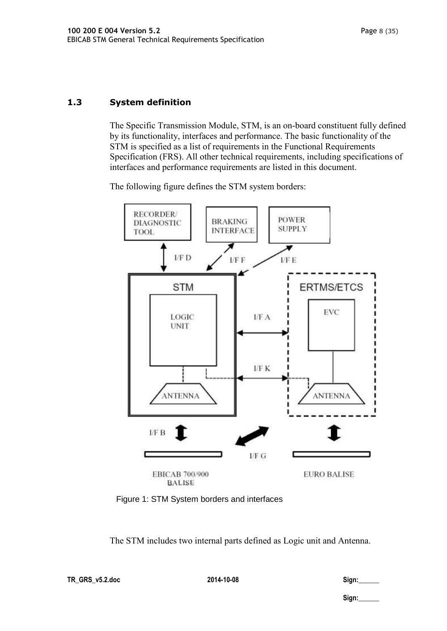# **1.3 System definition**

The Specific Transmission Module, STM, is an on-board constituent fully defined by its functionality, interfaces and performance. The basic functionality of the STM is specified as a list of requirements in the Functional Requirements Specification (FRS). All other technical requirements, including specifications of interfaces and performance requirements are listed in this document.

The following figure defines the STM system borders:



Figure 1: STM System borders and interfaces

The STM includes two internal parts defined as Logic unit and Antenna.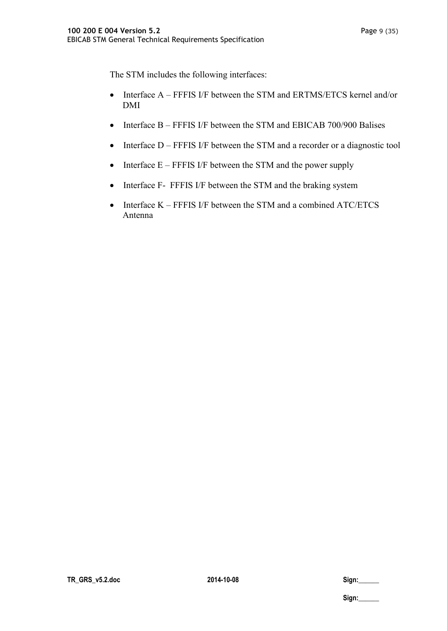The STM includes the following interfaces:

- Interface A FFFIS I/F between the STM and ERTMS/ETCS kernel and/or DMI
- Interface  $B FFFIS$  I/F between the STM and EBICAB 700/900 Balises
- Interface D FFFIS I/F between the STM and a recorder or a diagnostic tool
- Interface  $E FFFIS$  I/F between the STM and the power supply
- Interface F- FFFIS I/F between the STM and the braking system
- $\bullet$  Interface K FFFIS I/F between the STM and a combined ATC/ETCS Antenna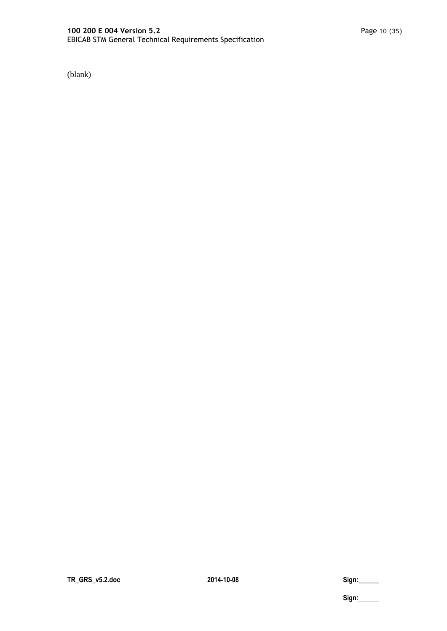(blank)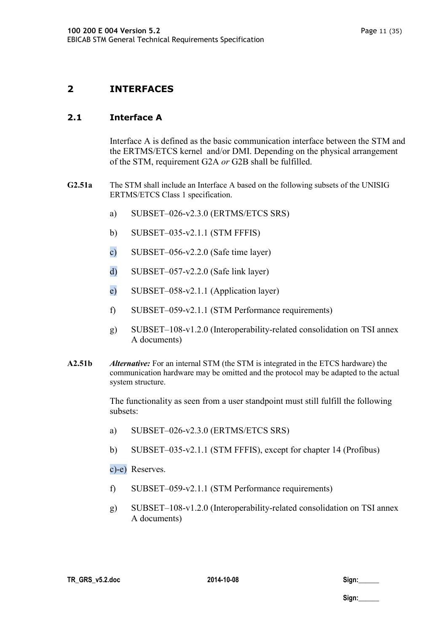# **2 INTERFACES**

## **2.1 Interface A**

Interface A is defined as the basic communication interface between the STM and the ERTMS/ETCS kernel and/or DMI. Depending on the physical arrangement of the STM, requirement G2A *or* G2B shall be fulfilled.

- **G2.51a** The STM shall include an Interface A based on the following subsets of the UNISIG ERTMS/ETCS Class 1 specification.
	- a) SUBSET–026-v2.3.0 (ERTMS/ETCS SRS)
	- b) SUBSET–035-v2.1.1 (STM FFFIS)
	- c) SUBSET–056-v2.2.0 (Safe time layer)
	- d) SUBSET–057-v2.2.0 (Safe link layer)
	- e) SUBSET–058-v2.1.1 (Application layer)
	- f) SUBSET–059-v2.1.1 (STM Performance requirements)
	- g) SUBSET–108-v1.2.0 (Interoperability-related consolidation on TSI annex A documents)
- **A2.51b** *Alternative:* For an internal STM (the STM is integrated in the ETCS hardware) the communication hardware may be omitted and the protocol may be adapted to the actual system structure.

The functionality as seen from a user standpoint must still fulfill the following subsets:

- a) SUBSET–026-v2.3.0 (ERTMS/ETCS SRS)
- b) SUBSET–035-v2.1.1 (STM FFFIS), except for chapter 14 (Profibus)
- c)-e) Reserves.
- f) SUBSET–059-v2.1.1 (STM Performance requirements)
- g) SUBSET–108-v1.2.0 (Interoperability-related consolidation on TSI annex A documents)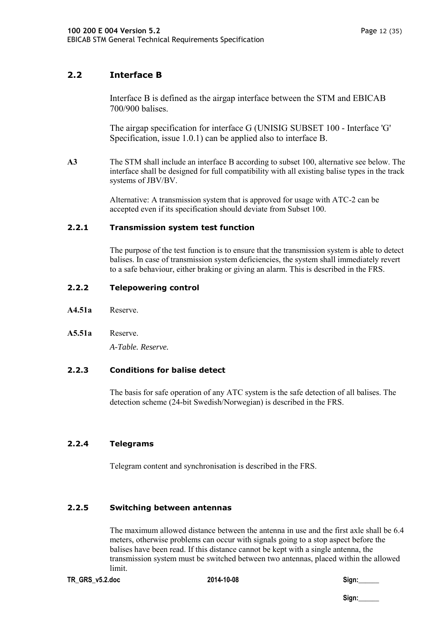## **2.2 Interface B**

Interface B is defined as the airgap interface between the STM and EBICAB 700/900 balises.

The airgap specification for interface G (UNISIG SUBSET 100 - Interface 'G' Specification, issue 1.0.1) can be applied also to interface B.

**A3** The STM shall include an interface B according to subset 100, alternative see below. The interface shall be designed for full compatibility with all existing balise types in the track systems of JBV/BV.

> Alternative: A transmission system that is approved for usage with ATC-2 can be accepted even if its specification should deviate from Subset 100.

#### **2.2.1 Transmission system test function**

The purpose of the test function is to ensure that the transmission system is able to detect balises. In case of transmission system deficiencies, the system shall immediately revert to a safe behaviour, either braking or giving an alarm. This is described in the FRS.

#### **2.2.2 Telepowering control**

- **A4.51a** Reserve.
- **A5.51a** Reserve.

*A-Table. Reserve.*

#### **2.2.3 Conditions for balise detect**

The basis for safe operation of any ATC system is the safe detection of all balises. The detection scheme (24-bit Swedish/Norwegian) is described in the FRS.

#### **2.2.4 Telegrams**

Telegram content and synchronisation is described in the FRS.

#### **2.2.5 Switching between antennas**

The maximum allowed distance between the antenna in use and the first axle shall be 6.4 meters, otherwise problems can occur with signals going to a stop aspect before the balises have been read. If this distance cannot be kept with a single antenna, the transmission system must be switched between two antennas, placed within the allowed limit.

```
TR_GRS_v5.2.doc 2014-10-08 Sign:______
```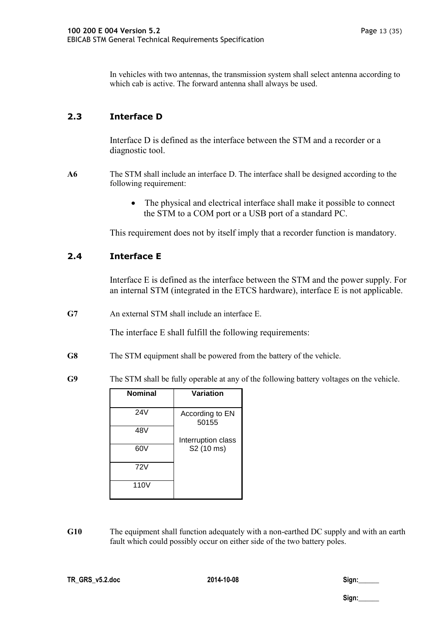In vehicles with two antennas, the transmission system shall select antenna according to which cab is active. The forward antenna shall always be used.

# **2.3 Interface D**

Interface D is defined as the interface between the STM and a recorder or a diagnostic tool.

- **A6** The STM shall include an interface D. The interface shall be designed according to the following requirement:
	- The physical and electrical interface shall make it possible to connect the STM to a COM port or a USB port of a standard PC.

This requirement does not by itself imply that a recorder function is mandatory.

## **2.4 Interface E**

Interface E is defined as the interface between the STM and the power supply. For an internal STM (integrated in the ETCS hardware), interface E is not applicable.

**G7** An external STM shall include an interface E.

The interface E shall fulfill the following requirements:

- **G8** The STM equipment shall be powered from the battery of the vehicle.
- **G9** The STM shall be fully operable at any of the following battery voltages on the vehicle.

| <b>Nominal</b> | Variation                   |
|----------------|-----------------------------|
| 24V            | According to EN             |
| 48V            | 50155<br>Interruption class |
| 60V            | S2 (10 ms)                  |
| 72V            |                             |
| 110V           |                             |

**G10** The equipment shall function adequately with a non-earthed DC supply and with an earth fault which could possibly occur on either side of the two battery poles.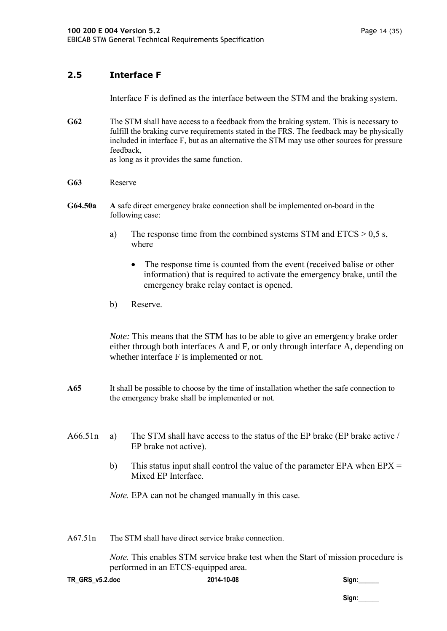## **2.5 Interface F**

Interface F is defined as the interface between the STM and the braking system.

**G62** The STM shall have access to a feedback from the braking system. This is necessary to fulfill the braking curve requirements stated in the FRS. The feedback may be physically included in interface F, but as an alternative the STM may use other sources for pressure feedback,

as long as it provides the same function.

- **G63** Reserve
- **G64.50a A** safe direct emergency brake connection shall be implemented on-board in the following case:
	- a) The response time from the combined systems STM and  $ETCS > 0.5$  s, where
		- The response time is counted from the event (received balise or other information) that is required to activate the emergency brake, until the emergency brake relay contact is opened.
	- b) Reserve.

*Note:* This means that the STM has to be able to give an emergency brake order either through both interfaces A and F, or only through interface A, depending on whether interface F is implemented or not.

- **A65** It shall be possible to choose by the time of installation whether the safe connection to the emergency brake shall be implemented or not.
- A66.51n a) The STM shall have access to the status of the EP brake (EP brake active / EP brake not active).
	- b) This status input shall control the value of the parameter EPA when  $EPX =$ Mixed EP Interface.

*Note.* EPA can not be changed manually in this case.

A67.51n The STM shall have direct service brake connection.

*Note.* This enables STM service brake test when the Start of mission procedure is performed in an ETCS-equipped area.

**TR\_GRS\_v5.2.doc 2014-10-08 Sign:\_\_\_\_\_\_**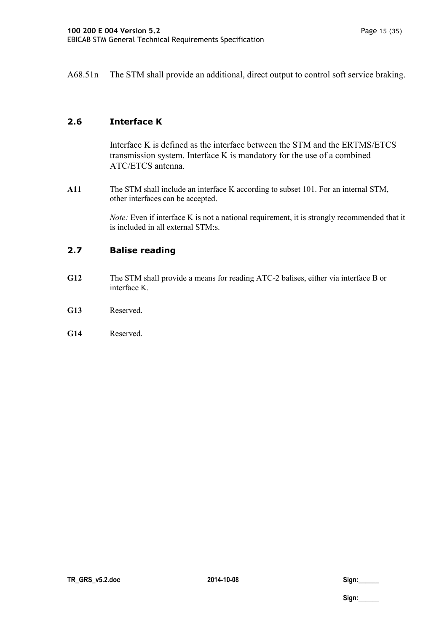A68.51n The STM shall provide an additional, direct output to control soft service braking.

## **2.6 Interface K**

Interface K is defined as the interface between the STM and the ERTMS/ETCS transmission system. Interface K is mandatory for the use of a combined ATC/ETCS antenna.

**A11** The STM shall include an interface K according to subset 101. For an internal STM, other interfaces can be accepted.

> *Note:* Even if interface K is not a national requirement, it is strongly recommended that it is included in all external STM:s.

## **2.7 Balise reading**

- **G12** The STM shall provide a means for reading ATC-2 balises, either via interface B or interface K.
- **G13** Reserved.
- **G14** Reserved.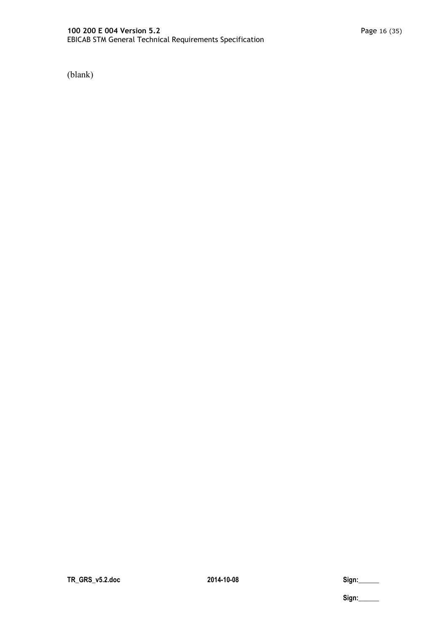(blank)

**TR\_GRS\_v5.2.doc 2014-10-08 Sign:\_\_\_\_\_\_**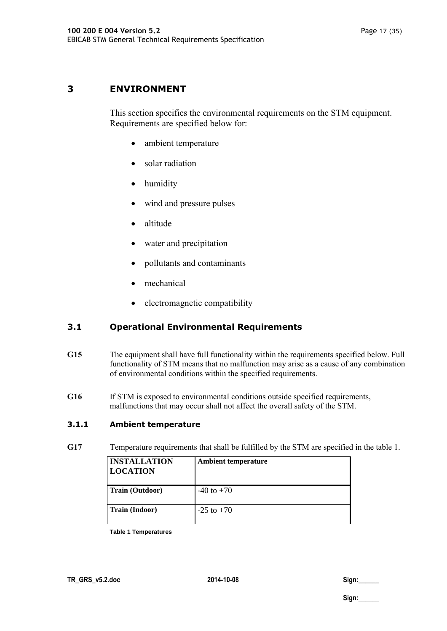## **3 ENVIRONMENT**

This section specifies the environmental requirements on the STM equipment. Requirements are specified below for:

- ambient temperature
- solar radiation
- humidity
- wind and pressure pulses
- altitude
- water and precipitation
- pollutants and contaminants
- mechanical
- electromagnetic compatibility

## **3.1 Operational Environmental Requirements**

- **G15** The equipment shall have full functionality within the requirements specified below. Full functionality of STM means that no malfunction may arise as a cause of any combination of environmental conditions within the specified requirements.
- **G16** If STM is exposed to environmental conditions outside specified requirements, malfunctions that may occur shall not affect the overall safety of the STM.

#### **3.1.1 Ambient temperature**

**G17** Temperature requirements that shall be fulfilled by the STM are specified in the table 1.

| <b>INSTALLATION</b><br><b>LOCATION</b> | <b>Ambient temperature</b> |
|----------------------------------------|----------------------------|
| <b>Train (Outdoor)</b>                 | $-40$ to $+70$             |
| <b>Train (Indoor)</b>                  | $-25$ to $+70$             |

**Table 1 Temperatures**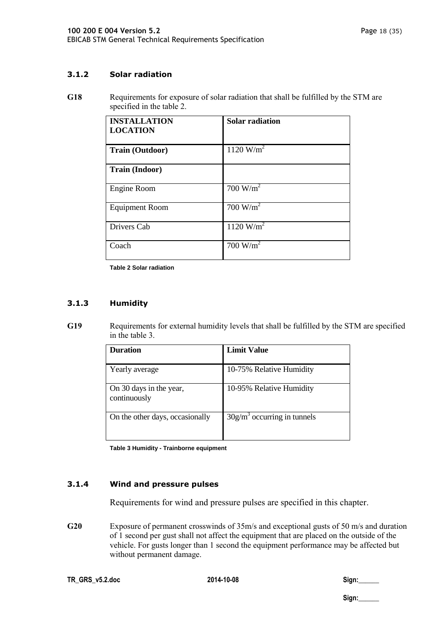# **3.1.2 Solar radiation**

**G18** Requirements for exposure of solar radiation that shall be fulfilled by the STM are specified in the table 2.

| <b>INSTALLATION</b><br><b>LOCATION</b> | <b>Solar radiation</b>  |
|----------------------------------------|-------------------------|
| <b>Train (Outdoor)</b>                 | 1120 $W/m^2$            |
| <b>Train (Indoor)</b>                  |                         |
| Engine Room                            | $700$ W/m <sup>2</sup>  |
| <b>Equipment Room</b>                  | $700$ W/m <sup>2</sup>  |
| Drivers Cab                            | $1120$ W/m <sup>2</sup> |
| Coach                                  | $700$ W/m <sup>2</sup>  |

**Table 2 Solar radiation**

#### **3.1.3 Humidity**

**G19** Requirements for external humidity levels that shall be fulfilled by the STM are specified in the table 3.

| <b>Duration</b>                         | <b>Limit Value</b>            |
|-----------------------------------------|-------------------------------|
| Yearly average                          | 10-75% Relative Humidity      |
| On 30 days in the year,<br>continuously | 10-95% Relative Humidity      |
| On the other days, occasionally         | $30g/m3$ occurring in tunnels |

**Table 3 Humidity - Trainborne equipment**

#### **3.1.4 Wind and pressure pulses**

Requirements for wind and pressure pulses are specified in this chapter.

**G20** Exposure of permanent crosswinds of 35m/s and exceptional gusts of 50 m/s and duration of 1 second per gust shall not affect the equipment that are placed on the outside of the vehicle. For gusts longer than 1 second the equipment performance may be affected but without permanent damage.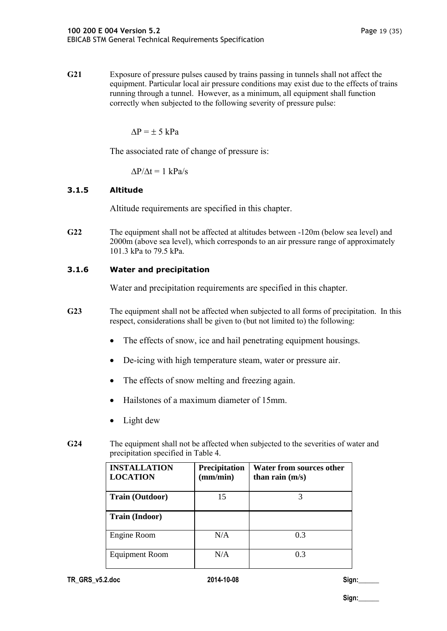**G21** Exposure of pressure pulses caused by trains passing in tunnels shall not affect the equipment. Particular local air pressure conditions may exist due to the effects of trains running through a tunnel. However, as a minimum, all equipment shall function correctly when subjected to the following severity of pressure pulse:

 $\Delta P = \pm 5$  kPa

The associated rate of change of pressure is:

 $AP/\Delta t = 1$  kPa/s

#### **3.1.5 Altitude**

Altitude requirements are specified in this chapter.

**G22** The equipment shall not be affected at altitudes between -120m (below sea level) and 2000m (above sea level), which corresponds to an air pressure range of approximately 101.3 kPa to 79.5 kPa.

#### **3.1.6 Water and precipitation**

Water and precipitation requirements are specified in this chapter.

- **G23** The equipment shall not be affected when subjected to all forms of precipitation. In this respect, considerations shall be given to (but not limited to) the following:
	- The effects of snow, ice and hail penetrating equipment housings.
	- De-icing with high temperature steam, water or pressure air.
	- The effects of snow melting and freezing again.
	- Hailstones of a maximum diameter of 15mm.
	- Light dew
- **G24** The equipment shall not be affected when subjected to the severities of water and precipitation specified in Table 4.

| <b>INSTALLATION</b><br><b>LOCATION</b> | Precipitation<br>(mm/min) | <b>Water from sources other</b><br>than rain $(m/s)$ |
|----------------------------------------|---------------------------|------------------------------------------------------|
| <b>Train (Outdoor)</b>                 | 15                        |                                                      |
| <b>Train (Indoor)</b>                  |                           |                                                      |
| Engine Room                            | N/A                       | 0.3                                                  |
| <b>Equipment Room</b>                  | N/A                       | 03                                                   |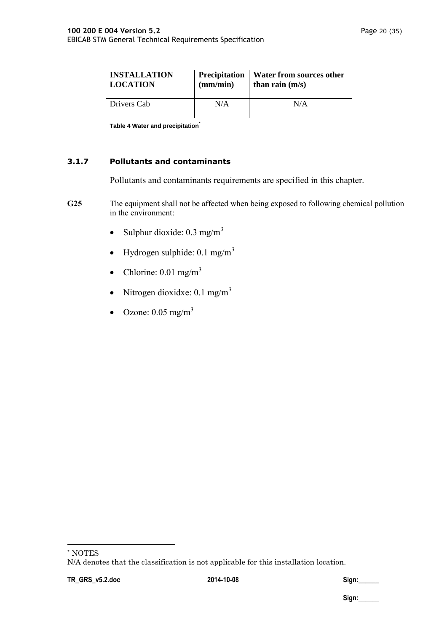| <b>INSTALLATION</b> | <b>Precipitation</b> | Water from sources other |
|---------------------|----------------------|--------------------------|
| <b>LOCATION</b>     | (mm/min)             | than rain $(m/s)$        |
| Drivers Cab         | N/A                  | N/A                      |

**Table 4 Water and precipitation\***

#### **3.1.7 Pollutants and contaminants**

Pollutants and contaminants requirements are specified in this chapter.

- **G25** The equipment shall not be affected when being exposed to following chemical pollution in the environment:
	- Sulphur dioxide:  $0.3 \text{ mg/m}^3$
	- Hydrogen sulphide:  $0.1 \text{ mg/m}^3$
	- Chlorine:  $0.01$  mg/m<sup>3</sup>
	- Nitrogen dioxidxe:  $0.1 \text{ mg/m}^3$
	- Ozone:  $0.05$  mg/m<sup>3</sup>

1

<sup>\*</sup> NOTES

N/A denotes that the classification is not applicable for this installation location.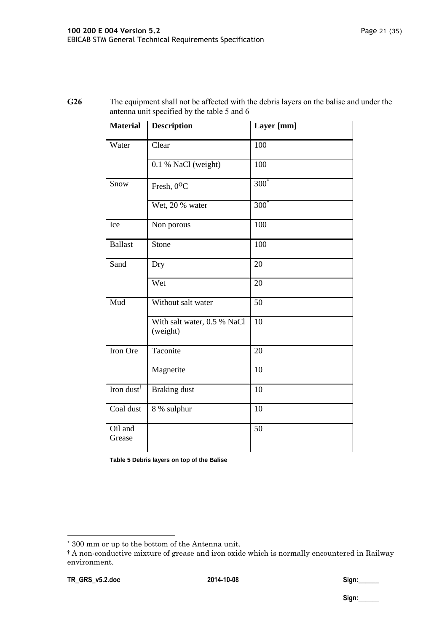| <b>Material</b>        | <b>Description</b>                      | Layer [mm] |
|------------------------|-----------------------------------------|------------|
| Water                  | Clear                                   | 100        |
|                        | 0.1 % NaCl (weight)                     | 100        |
| Snow                   | Fresh, 0°C                              | $300^*$    |
|                        | Wet, 20 % water                         | $300^*$    |
| Ice                    | Non porous                              | 100        |
| <b>Ballast</b>         | Stone                                   | 100        |
| Sand                   | Dry                                     | 20         |
|                        | Wet                                     | 20         |
| Mud                    | Without salt water                      | 50         |
|                        | With salt water, 0.5 % NaCl<br>(weight) | 10         |
| Iron Ore               | Taconite                                | 20         |
|                        | Magnetite                               | 10         |
| Iron dust <sup>†</sup> | <b>Braking</b> dust                     | 10         |
| Coal dust              | 8 % sulphur                             | 10         |
| Oil and<br>Grease      |                                         | 50         |

**G26** The equipment shall not be affected with the debris layers on the balise and under the antenna unit specified by the table 5 and 6

**Table 5 Debris layers on top of the Balise** 

1

<sup>\*</sup> 300 mm or up to the bottom of the Antenna unit.

<sup>†</sup> A non-conductive mixture of grease and iron oxide which is normally encountered in Railway environment.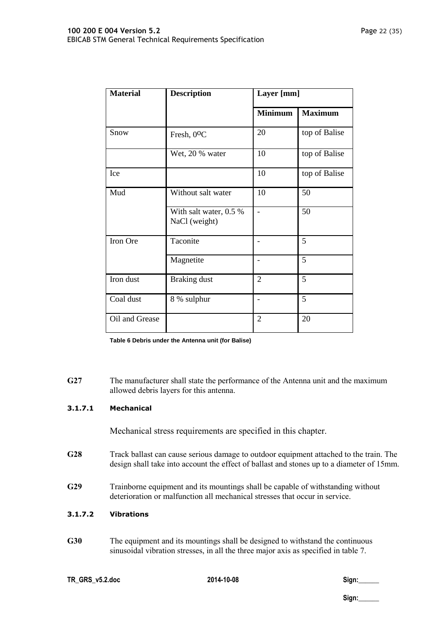| <b>Material</b> | <b>Description</b>                      | Layer [mm]     |                |
|-----------------|-----------------------------------------|----------------|----------------|
|                 |                                         | <b>Minimum</b> | <b>Maximum</b> |
| Snow            | Fresh, 0°C                              | 20             | top of Balise  |
|                 | Wet, 20 % water                         | 10             | top of Balise  |
| Ice             |                                         | 10             | top of Balise  |
| Mud             | Without salt water                      | 10             | 50             |
|                 | With salt water, 0.5 %<br>NaCl (weight) |                | 50             |
| Iron Ore        | Taconite                                |                | 5              |
|                 | Magnetite                               |                | 5              |
| Iron dust       | <b>Braking</b> dust                     | $\overline{2}$ | 5              |
| Coal dust       | 8 % sulphur                             |                | 5              |
| Oil and Grease  |                                         | $\overline{2}$ | 20             |

**Table 6 Debris under the Antenna unit (for Balise)**

**G27** The manufacturer shall state the performance of the Antenna unit and the maximum allowed debris layers for this antenna.

#### **3.1.7.1 Mechanical**

Mechanical stress requirements are specified in this chapter.

- **G28** Track ballast can cause serious damage to outdoor equipment attached to the train. The design shall take into account the effect of ballast and stones up to a diameter of 15mm.
- **G29** Trainborne equipment and its mountings shall be capable of withstanding without deterioration or malfunction all mechanical stresses that occur in service.

#### **3.1.7.2 Vibrations**

**G30** The equipment and its mountings shall be designed to withstand the continuous sinusoidal vibration stresses, in all the three major axis as specified in table 7.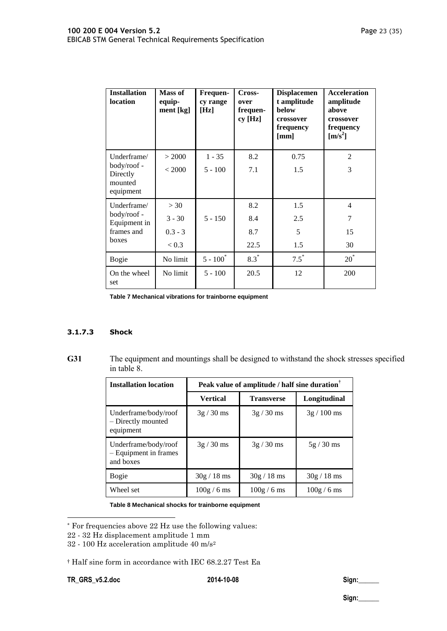| <b>Installation</b><br>location | Mass of<br>equip-<br>ment [kg] | Frequen-<br>cy range<br>[Hz] | Cross-<br>over<br>frequen-<br>cy [Hz] | <b>Displacemen</b><br>t amplitude<br>below<br>crossover<br>frequency<br>[mm] | <b>Acceleration</b><br>amplitude<br>above<br>crossover<br>frequency<br>$\left[\text{m/s}^2\right]$ |
|---------------------------------|--------------------------------|------------------------------|---------------------------------------|------------------------------------------------------------------------------|----------------------------------------------------------------------------------------------------|
| Underframe/                     | > 2000                         | $1 - 35$                     | 8.2                                   | 0.75                                                                         | $\overline{2}$                                                                                     |
| body/roof -<br>Directly         | < 2000                         | $5 - 100$                    | 7.1                                   | 1.5                                                                          | 3                                                                                                  |
| mounted<br>equipment            |                                |                              |                                       |                                                                              |                                                                                                    |
| Underframe/                     | > 30                           |                              | 8.2                                   | 1.5                                                                          | 4                                                                                                  |
| body/roof -<br>Equipment in     | $3 - 30$                       | $5 - 150$                    | 8.4                                   | 2.5                                                                          | 7                                                                                                  |
| frames and                      | $0.3 - 3$                      |                              | 8.7                                   | 5                                                                            | 15                                                                                                 |
| boxes                           | < 0.3                          |                              | 22.5                                  | 1.5                                                                          | 30                                                                                                 |
| <b>Bogie</b>                    | No limit                       | $5 - 100^*$                  | $8.3*$                                | $7.5^*$                                                                      | $20^*$                                                                                             |
| On the wheel<br>set             | No limit                       | $5 - 100$                    | 20.5                                  | 12                                                                           | 200                                                                                                |

**Table 7 Mechanical vibrations for trainborne equipment**

#### **3.1.7.3 Shock**

**G31** The equipment and mountings shall be designed to withstand the shock stresses specified in table 8.

| <b>Installation location</b>                               | Peak value of amplitude / half sine duration <sup>†</sup> |                   |               |
|------------------------------------------------------------|-----------------------------------------------------------|-------------------|---------------|
|                                                            | <b>Vertical</b>                                           | <b>Transverse</b> | Longitudinal  |
| Underframe/body/roof<br>- Directly mounted<br>equipment    | $3g/30$ ms                                                | $3g/30$ ms        | $3g / 100$ ms |
| Underframe/body/roof<br>- Equipment in frames<br>and boxes | $3g/30$ ms                                                | $3g/30$ ms        | $5g/30$ ms    |
| Bogie                                                      | $30g/18$ ms                                               | $30g/18$ ms       | $30g / 18$ ms |
| Wheel set                                                  | $100g/6$ ms                                               | $100g/6$ ms       | $100g/6$ ms   |

**Table 8 Mechanical shocks for trainborne equipment**

1

<sup>\*</sup> For frequencies above 22 Hz use the following values:

<sup>22 -</sup> 32 Hz displacement amplitude 1 mm

<sup>32 -</sup> 100 Hz acceleration amplitude 40 m/s<sup>2</sup>

<sup>†</sup> Half sine form in accordance with IEC 68.2.27 Test Ea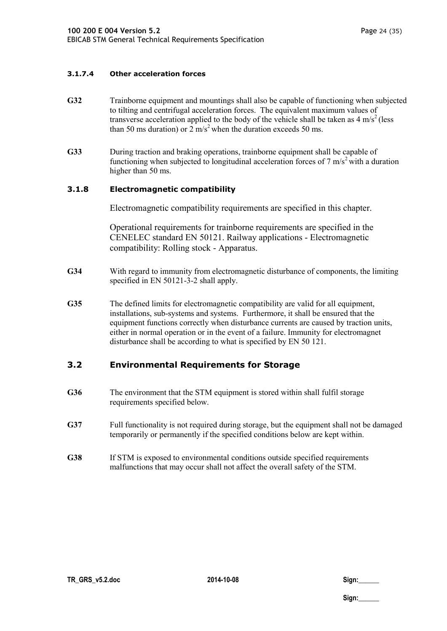- **G32** Trainborne equipment and mountings shall also be capable of functioning when subjected to tilting and centrifugal acceleration forces. The equivalent maximum values of transverse acceleration applied to the body of the vehicle shall be taken as  $4 \text{ m/s}^2$  (less than 50 ms duration) or 2 m/s<sup>2</sup> when the duration exceeds 50 ms.
- **G33** During traction and braking operations, trainborne equipment shall be capable of functioning when subjected to longitudinal acceleration forces of  $7 \text{ m/s}^2$  with a duration higher than 50 ms.

#### **3.1.8 Electromagnetic compatibility**

Electromagnetic compatibility requirements are specified in this chapter.

Operational requirements for trainborne requirements are specified in the CENELEC standard EN 50121. Railway applications - Electromagnetic compatibility: Rolling stock - Apparatus.

- **G34** With regard to immunity from electromagnetic disturbance of components, the limiting specified in EN 50121-3-2 shall apply.
- **G35** The defined limits for electromagnetic compatibility are valid for all equipment, installations, sub-systems and systems. Furthermore, it shall be ensured that the equipment functions correctly when disturbance currents are caused by traction units, either in normal operation or in the event of a failure. Immunity for electromagnet disturbance shall be according to what is specified by EN 50 121.

## **3.2 Environmental Requirements for Storage**

- **G36** The environment that the STM equipment is stored within shall fulfil storage requirements specified below.
- **G37** Full functionality is not required during storage, but the equipment shall not be damaged temporarily or permanently if the specified conditions below are kept within.
- **G38** If STM is exposed to environmental conditions outside specified requirements malfunctions that may occur shall not affect the overall safety of the STM.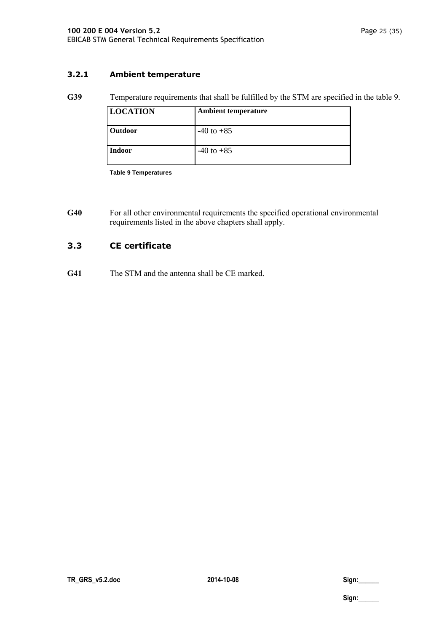#### **3.2.1 Ambient temperature**

#### **G39** Temperature requirements that shall be fulfilled by the STM are specified in the table 9.

| <b>LOCATION</b> | <b>Ambient temperature</b> |
|-----------------|----------------------------|
| Outdoor         | $-40$ to $+85$             |
| <b>Indoor</b>   | $-40$ to $+85$             |

**Table 9 Temperatures**

**G40** For all other environmental requirements the specified operational environmental requirements listed in the above chapters shall apply.

## **3.3 CE certificate**

**G41** The STM and the antenna shall be CE marked.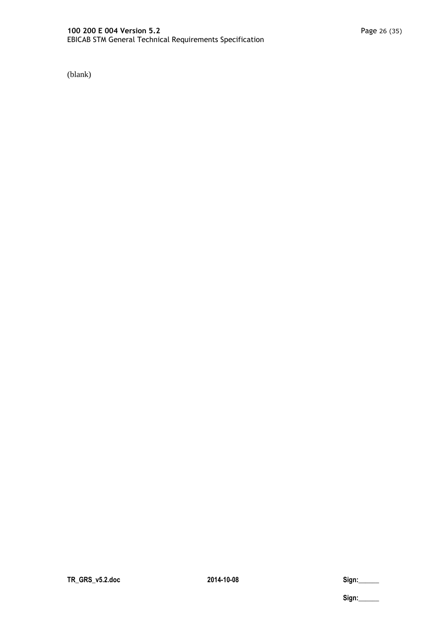(blank)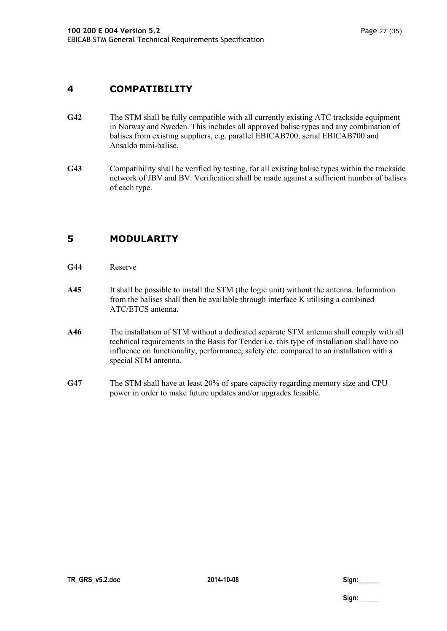## **4 COMPATIBILITY**

- **G42** The STM shall be fully compatible with all currently existing ATC trackside equipment in Norway and Sweden. This includes all approved balise types and any combination of balises from existing suppliers, e.g. parallel EBICAB700, serial EBICAB700 and Ansaldo mini-balise.
- **G43** Compatibility shall be verified by testing, for all existing balise types within the trackside network of JBV and BV. Verification shall be made against a sufficient number of balises of each type.

## **5 MODULARITY**

- **G44** Reserve
- **A45** It shall be possible to install the STM (the logic unit) without the antenna. Information from the balises shall then be available through interface K utilising a combined ATC/ETCS antenna.
- **A46** The installation of STM without a dedicated separate STM antenna shall comply with all technical requirements in the Basis for Tender i.e. this type of installation shall have no influence on functionality, performance, safety etc. compared to an installation with a special STM antenna.
- **G47** The STM shall have at least 20% of spare capacity regarding memory size and CPU power in order to make future updates and/or upgrades feasible.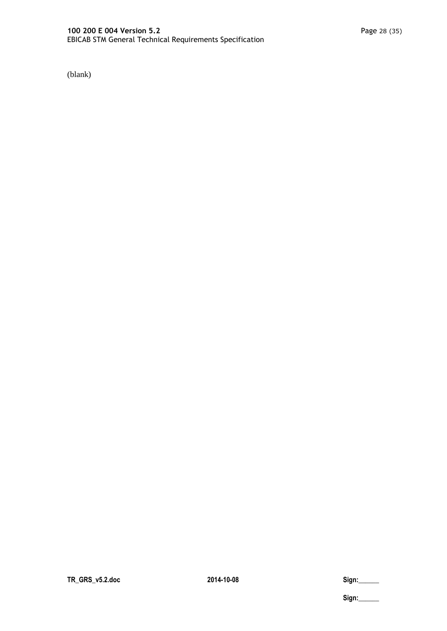(blank)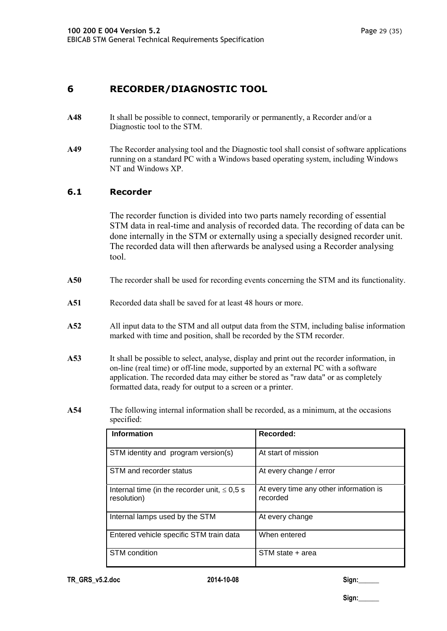# **6 RECORDER/DIAGNOSTIC TOOL**

- **A48** It shall be possible to connect, temporarily or permanently, a Recorder and/or a Diagnostic tool to the STM.
- **A49** The Recorder analysing tool and the Diagnostic tool shall consist of software applications running on a standard PC with a Windows based operating system, including Windows NT and Windows XP.

## **6.1 Recorder**

The recorder function is divided into two parts namely recording of essential STM data in real-time and analysis of recorded data. The recording of data can be done internally in the STM or externally using a specially designed recorder unit. The recorded data will then afterwards be analysed using a Recorder analysing tool.

- **A50** The recorder shall be used for recording events concerning the STM and its functionality.
- **A51** Recorded data shall be saved for at least 48 hours or more.
- **A52** All input data to the STM and all output data from the STM, including balise information marked with time and position, shall be recorded by the STM recorder.
- **A53** It shall be possible to select, analyse, display and print out the recorder information, in on-line (real time) or off-line mode, supported by an external PC with a software application. The recorded data may either be stored as "raw data" or as completely formatted data, ready for output to a screen or a printer.
- **A54** The following internal information shall be recorded, as a minimum, at the occasions specified:

| <b>Information</b>                                               | Recorded:                                          |
|------------------------------------------------------------------|----------------------------------------------------|
| STM identity and program version(s)                              | At start of mission                                |
| STM and recorder status                                          | At every change / error                            |
| Internal time (in the recorder unit, $\leq 0.5$ s<br>resolution) | At every time any other information is<br>recorded |
| Internal lamps used by the STM                                   | At every change                                    |
| Entered vehicle specific STM train data                          | When entered                                       |
| STM condition                                                    | STM state + area                                   |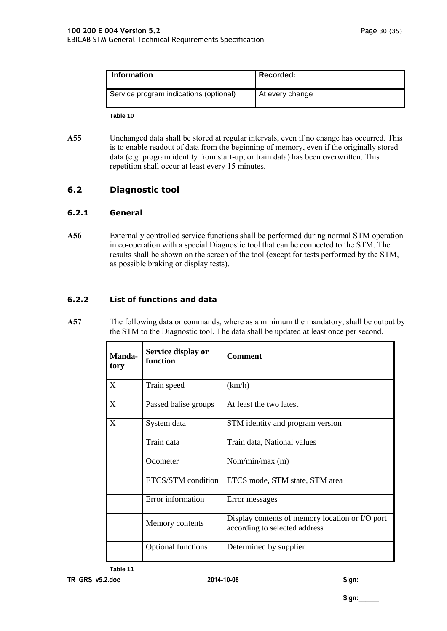| <b>Information</b>                     | Recorded:       |
|----------------------------------------|-----------------|
| Service program indications (optional) | At every change |

**Table 10**

**A55** Unchanged data shall be stored at regular intervals, even if no change has occurred. This is to enable readout of data from the beginning of memory, even if the originally stored data (e.g. program identity from start-up, or train data) has been overwritten. This repetition shall occur at least every 15 minutes.

## **6.2 Diagnostic tool**

#### **6.2.1 General**

**A56** Externally controlled service functions shall be performed during normal STM operation in co-operation with a special Diagnostic tool that can be connected to the STM. The results shall be shown on the screen of the tool (except for tests performed by the STM, as possible braking or display tests).

#### **6.2.2 List of functions and data**

**A57** The following data or commands, where as a minimum the mandatory, shall be output by the STM to the Diagnostic tool. The data shall be updated at least once per second.

| <b>Manda-</b><br>tory | Service display or<br>function | <b>Comment</b>                                                                   |
|-----------------------|--------------------------------|----------------------------------------------------------------------------------|
| $\boldsymbol{X}$      | Train speed                    | (km/h)                                                                           |
| X                     | Passed balise groups           | At least the two latest                                                          |
| X                     | System data                    | STM identity and program version                                                 |
|                       | Train data                     | Train data, National values                                                      |
|                       | Odometer                       | Nom/min/max $(m)$                                                                |
|                       | ETCS/STM condition             | ETCS mode, STM state, STM area                                                   |
|                       | Error information              | Error messages                                                                   |
|                       | Memory contents                | Display contents of memory location or I/O port<br>according to selected address |
|                       | <b>Optional functions</b>      | Determined by supplier                                                           |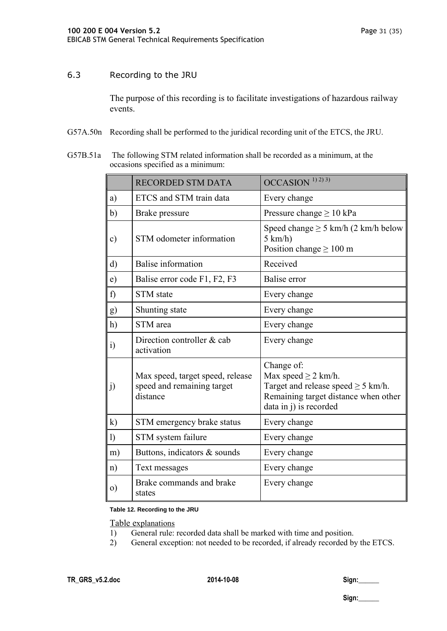#### 6.3 Recording to the JRU

The purpose of this recording is to facilitate investigations of hazardous railway events.

- G57A.50n Recording shall be performed to the juridical recording unit of the ETCS, the JRU.
- G57B.51a The following STM related information shall be recorded as a minimum, at the occasions specified as a minimum:

|               | <b>RECORDED STM DATA</b>                                                   | OCCASION <sup>1)2)3)</sup>                                                                                                                          |
|---------------|----------------------------------------------------------------------------|-----------------------------------------------------------------------------------------------------------------------------------------------------|
| a)            | ETCS and STM train data                                                    | Every change                                                                                                                                        |
| b)            | Brake pressure                                                             | Pressure change $\geq 10$ kPa                                                                                                                       |
| $\mathbf{c})$ | STM odometer information                                                   | Speed change $\geq$ 5 km/h (2 km/h below<br>$5 \text{ km/h}$<br>Position change $\geq 100$ m                                                        |
| $\mathbf{d}$  | <b>Balise</b> information                                                  | Received                                                                                                                                            |
| e)            | Balise error code F1, F2, F3                                               | Balise error                                                                                                                                        |
| f             | <b>STM</b> state                                                           | Every change                                                                                                                                        |
| g)            | Shunting state                                                             | Every change                                                                                                                                        |
| h)            | STM area                                                                   | Every change                                                                                                                                        |
| $\ddot{1}$    | Direction controller & cab<br>activation                                   | Every change                                                                                                                                        |
| j)            | Max speed, target speed, release<br>speed and remaining target<br>distance | Change of:<br>Max speed $\geq$ 2 km/h.<br>Target and release speed $\geq$ 5 km/h.<br>Remaining target distance when other<br>data in j) is recorded |
| $\bf k)$      | STM emergency brake status                                                 | Every change                                                                                                                                        |
| $\mathbf{I}$  | STM system failure                                                         | Every change                                                                                                                                        |
| m)            | Buttons, indicators & sounds                                               | Every change                                                                                                                                        |
| n)            | Text messages                                                              | Every change                                                                                                                                        |
| $\circ$ )     | Brake commands and brake<br>states                                         | Every change                                                                                                                                        |

#### **Table 12. Recording to the JRU**

Table explanations

- 1) General rule: recorded data shall be marked with time and position.
- 2) General exception: not needed to be recorded, if already recorded by the ETCS.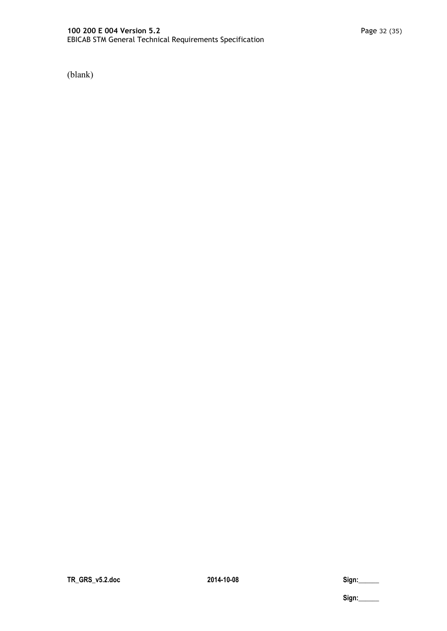(blank)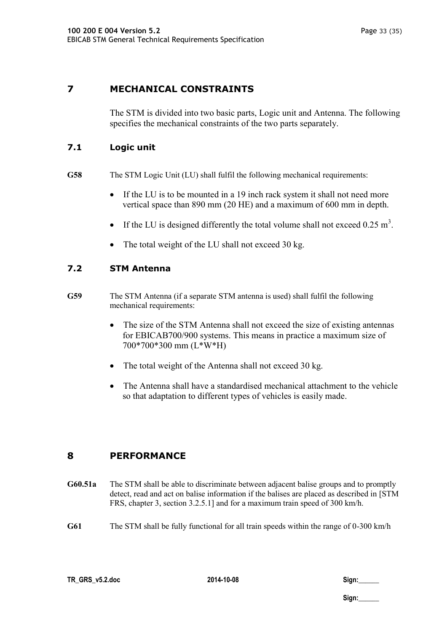# **7 MECHANICAL CONSTRAINTS**

The STM is divided into two basic parts, Logic unit and Antenna. The following specifies the mechanical constraints of the two parts separately.

## **7.1 Logic unit**

- **G58** The STM Logic Unit (LU) shall fulfil the following mechanical requirements:
	- If the LU is to be mounted in a 19 inch rack system it shall not need more vertical space than 890 mm (20 HE) and a maximum of 600 mm in depth.
	- If the LU is designed differently the total volume shall not exceed  $0.25 \text{ m}^3$ .
	- The total weight of the LU shall not exceed 30 kg.

## **7.2 STM Antenna**

- **G59** The STM Antenna (if a separate STM antenna is used) shall fulfil the following mechanical requirements:
	- The size of the STM Antenna shall not exceed the size of existing antennas for EBICAB700/900 systems. This means in practice a maximum size of 700\*700\*300 mm (L\*W\*H)
	- The total weight of the Antenna shall not exceed 30 kg.
	- The Antenna shall have a standardised mechanical attachment to the vehicle so that adaptation to different types of vehicles is easily made.

# **8 PERFORMANCE**

- **G60.51a** The STM shall be able to discriminate between adjacent balise groups and to promptly detect, read and act on balise information if the balises are placed as described in [STM FRS, chapter 3, section 3.2.5.1] and for a maximum train speed of 300 km/h.
- **G61** The STM shall be fully functional for all train speeds within the range of 0-300 km/h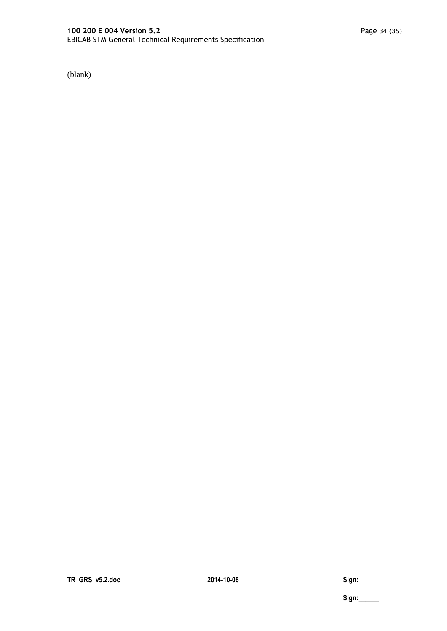(blank)